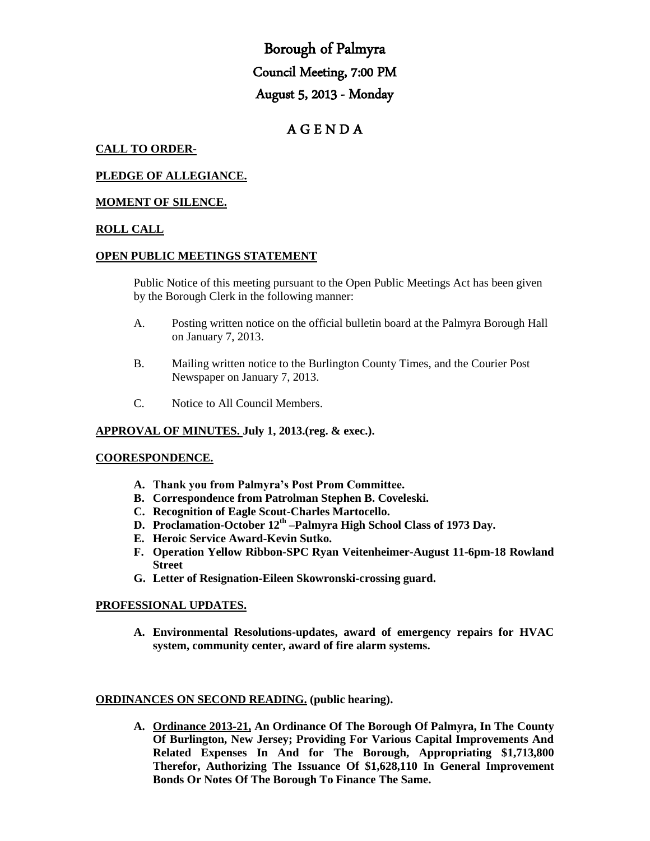# Borough of Palmyra Council Meeting, 7:00 PM August 5, 2013 - Monday

# A G E N D A

# **CALL TO ORDER-**

# **PLEDGE OF ALLEGIANCE.**

# **MOMENT OF SILENCE.**

# **ROLL CALL**

#### **OPEN PUBLIC MEETINGS STATEMENT**

Public Notice of this meeting pursuant to the Open Public Meetings Act has been given by the Borough Clerk in the following manner:

- A. Posting written notice on the official bulletin board at the Palmyra Borough Hall on January 7, 2013.
- B. Mailing written notice to the Burlington County Times, and the Courier Post Newspaper on January 7, 2013.
- C. Notice to All Council Members.

#### **APPROVAL OF MINUTES. July 1, 2013.(reg. & exec.).**

#### **COORESPONDENCE.**

- **A. Thank you from Palmyra's Post Prom Committee.**
- **B. Correspondence from Patrolman Stephen B. Coveleski.**
- **C. Recognition of Eagle Scout-Charles Martocello.**
- **D. Proclamation-October 12th –Palmyra High School Class of 1973 Day.**
- **E. Heroic Service Award-Kevin Sutko.**
- **F. Operation Yellow Ribbon-SPC Ryan Veitenheimer-August 11-6pm-18 Rowland Street**
- **G. Letter of Resignation-Eileen Skowronski-crossing guard.**

#### **PROFESSIONAL UPDATES.**

**A. Environmental Resolutions-updates, award of emergency repairs for HVAC system, community center, award of fire alarm systems.** 

#### **ORDINANCES ON SECOND READING. (public hearing).**

**A. Ordinance 2013-21, An Ordinance Of The Borough Of Palmyra, In The County Of Burlington, New Jersey; Providing For Various Capital Improvements And Related Expenses In And for The Borough, Appropriating \$1,713,800 Therefor, Authorizing The Issuance Of \$1,628,110 In General Improvement Bonds Or Notes Of The Borough To Finance The Same.**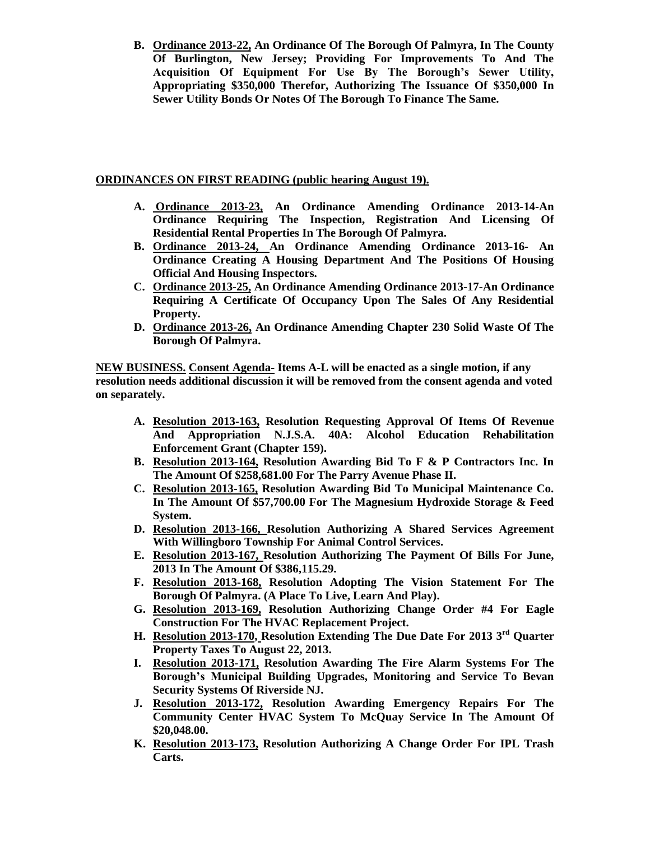**B. Ordinance 2013-22, An Ordinance Of The Borough Of Palmyra, In The County Of Burlington, New Jersey; Providing For Improvements To And The Acquisition Of Equipment For Use By The Borough's Sewer Utility, Appropriating \$350,000 Therefor, Authorizing The Issuance Of \$350,000 In Sewer Utility Bonds Or Notes Of The Borough To Finance The Same.** 

# **ORDINANCES ON FIRST READING (public hearing August 19).**

- **A. Ordinance 2013-23, An Ordinance Amending Ordinance 2013-14-An Ordinance Requiring The Inspection, Registration And Licensing Of Residential Rental Properties In The Borough Of Palmyra.**
- **B. Ordinance 2013-24, An Ordinance Amending Ordinance 2013-16- An Ordinance Creating A Housing Department And The Positions Of Housing Official And Housing Inspectors.**
- **C. Ordinance 2013-25, An Ordinance Amending Ordinance 2013-17-An Ordinance Requiring A Certificate Of Occupancy Upon The Sales Of Any Residential Property.**
- **D. Ordinance 2013-26, An Ordinance Amending Chapter 230 Solid Waste Of The Borough Of Palmyra.**

**NEW BUSINESS. Consent Agenda- Items A-L will be enacted as a single motion, if any resolution needs additional discussion it will be removed from the consent agenda and voted on separately.**

- **A. Resolution 2013-163, Resolution Requesting Approval Of Items Of Revenue And Appropriation N.J.S.A. 40A: Alcohol Education Rehabilitation Enforcement Grant (Chapter 159).**
- **B. Resolution 2013-164, Resolution Awarding Bid To F & P Contractors Inc. In The Amount Of \$258,681.00 For The Parry Avenue Phase II.**
- **C. Resolution 2013-165, Resolution Awarding Bid To Municipal Maintenance Co. In The Amount Of \$57,700.00 For The Magnesium Hydroxide Storage & Feed System.**
- **D. Resolution 2013-166, Resolution Authorizing A Shared Services Agreement With Willingboro Township For Animal Control Services.**
- **E. Resolution 2013-167, Resolution Authorizing The Payment Of Bills For June, 2013 In The Amount Of \$386,115.29.**
- **F. Resolution 2013-168, Resolution Adopting The Vision Statement For The Borough Of Palmyra. (A Place To Live, Learn And Play).**
- **G. Resolution 2013-169, Resolution Authorizing Change Order #4 For Eagle Construction For The HVAC Replacement Project.**
- **H. Resolution 2013-170, Resolution Extending The Due Date For 2013 3rd Quarter Property Taxes To August 22, 2013.**
- **I. Resolution 2013-171, Resolution Awarding The Fire Alarm Systems For The Borough's Municipal Building Upgrades, Monitoring and Service To Bevan Security Systems Of Riverside NJ.**
- **J. Resolution 2013-172, Resolution Awarding Emergency Repairs For The Community Center HVAC System To McQuay Service In The Amount Of \$20,048.00.**
- **K. Resolution 2013-173, Resolution Authorizing A Change Order For IPL Trash Carts.**